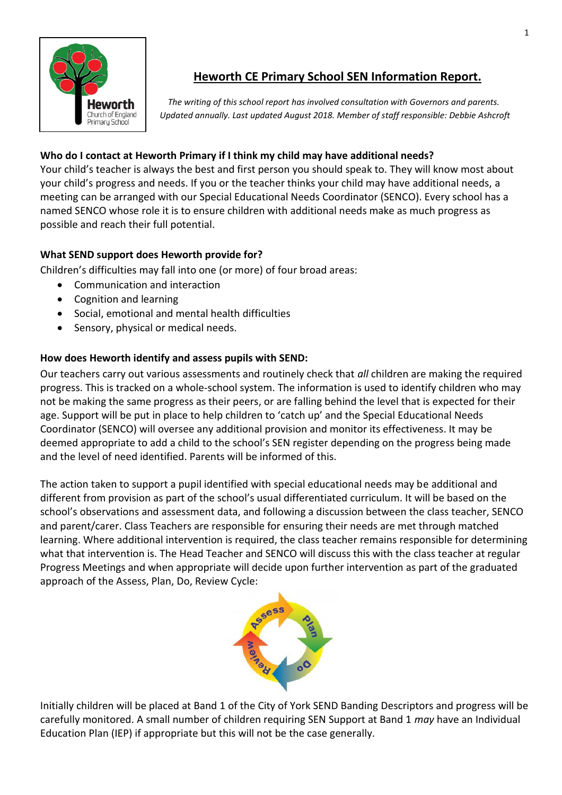

# **Heworth CE Primary School SEN Information Report.**

 *The writing of this school report has involved consultation with Governors and parents. Updated annually. Last updated August 2018. Member of staff responsible: Debbie Ashcroft*

# **Who do I contact at Heworth Primary if I think my child may have additional needs?**

Your child's teacher is always the best and first person you should speak to. They will know most about your child's progress and needs. If you or the teacher thinks your child may have additional needs, a meeting can be arranged with our Special Educational Needs Coordinator (SENCO). Every school has a named SENCO whose role it is to ensure children with additional needs make as much progress as possible and reach their full potential.

# **What SEND support does Heworth provide for?**

Children's difficulties may fall into one (or more) of four broad areas:

- Communication and interaction
- Cognition and learning
- Social, emotional and mental health difficulties
- Sensory, physical or medical needs.

# **How does Heworth identify and assess pupils with SEND:**

Our teachers carry out various assessments and routinely check that *all* children are making the required progress. This is tracked on a whole-school system. The information is used to identify children who may not be making the same progress as their peers, or are falling behind the level that is expected for their age. Support will be put in place to help children to 'catch up' and the Special Educational Needs Coordinator (SENCO) will oversee any additional provision and monitor its effectiveness. It may be deemed appropriate to add a child to the school's SEN register depending on the progress being made and the level of need identified. Parents will be informed of this.

The action taken to support a pupil identified with special educational needs may be additional and different from provision as part of the school's usual differentiated curriculum. It will be based on the school's observations and assessment data, and following a discussion between the class teacher, SENCO and parent/carer. Class Teachers are responsible for ensuring their needs are met through matched learning. Where additional intervention is required, the class teacher remains responsible for determining what that intervention is. The Head Teacher and SENCO will discuss this with the class teacher at regular Progress Meetings and when appropriate will decide upon further intervention as part of the graduated approach of the Assess, Plan, Do, Review Cycle:



Initially children will be placed at Band 1 of the City of York SEND Banding Descriptors and progress will be carefully monitored. A small number of children requiring SEN Support at Band 1 *may* have an Individual Education Plan (IEP) if appropriate but this will not be the case generally.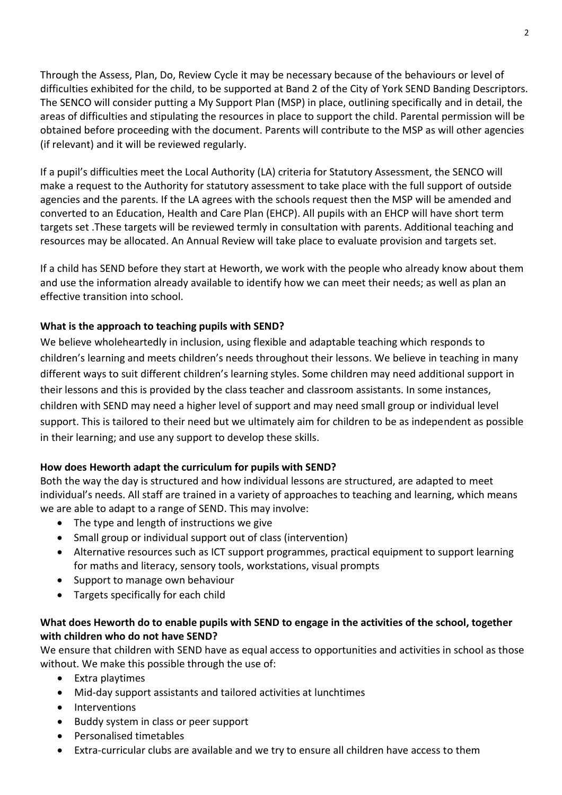Through the Assess, Plan, Do, Review Cycle it may be necessary because of the behaviours or level of difficulties exhibited for the child, to be supported at Band 2 of the City of York SEND Banding Descriptors. The SENCO will consider putting a My Support Plan (MSP) in place, outlining specifically and in detail, the areas of difficulties and stipulating the resources in place to support the child. Parental permission will be obtained before proceeding with the document. Parents will contribute to the MSP as will other agencies (if relevant) and it will be reviewed regularly.

If a pupil's difficulties meet the Local Authority (LA) criteria for Statutory Assessment, the SENCO will make a request to the Authority for statutory assessment to take place with the full support of outside agencies and the parents. If the LA agrees with the schools request then the MSP will be amended and converted to an Education, Health and Care Plan (EHCP). All pupils with an EHCP will have short term targets set .These targets will be reviewed termly in consultation with parents. Additional teaching and resources may be allocated. An Annual Review will take place to evaluate provision and targets set.

If a child has SEND before they start at Heworth, we work with the people who already know about them and use the information already available to identify how we can meet their needs; as well as plan an effective transition into school.

## **What is the approach to teaching pupils with SEND?**

We believe wholeheartedly in inclusion, using flexible and adaptable teaching which responds to children's learning and meets children's needs throughout their lessons. We believe in teaching in many different ways to suit different children's learning styles. Some children may need additional support in their lessons and this is provided by the class teacher and classroom assistants. In some instances, children with SEND may need a higher level of support and may need small group or individual level support. This is tailored to their need but we ultimately aim for children to be as independent as possible in their learning; and use any support to develop these skills.

### **How does Heworth adapt the curriculum for pupils with SEND?**

Both the way the day is structured and how individual lessons are structured, are adapted to meet individual's needs. All staff are trained in a variety of approaches to teaching and learning, which means we are able to adapt to a range of SEND. This may involve:

- The type and length of instructions we give
- Small group or individual support out of class (intervention)
- Alternative resources such as ICT support programmes, practical equipment to support learning for maths and literacy, sensory tools, workstations, visual prompts
- Support to manage own behaviour
- Targets specifically for each child

## **What does Heworth do to enable pupils with SEND to engage in the activities of the school, together with children who do not have SEND?**

We ensure that children with SEND have as equal access to opportunities and activities in school as those without. We make this possible through the use of:

- Extra playtimes
- Mid-day support assistants and tailored activities at lunchtimes
- Interventions
- Buddy system in class or peer support
- Personalised timetables
- Extra-curricular clubs are available and we try to ensure all children have access to them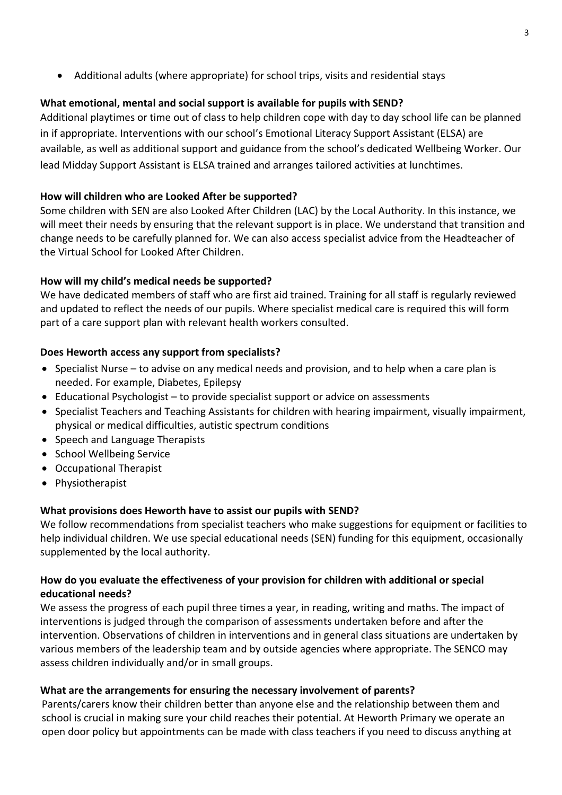Additional adults (where appropriate) for school trips, visits and residential stays

## **What emotional, mental and social support is available for pupils with SEND?**

Additional playtimes or time out of class to help children cope with day to day school life can be planned in if appropriate. Interventions with our school's Emotional Literacy Support Assistant (ELSA) are available, as well as additional support and guidance from the school's dedicated Wellbeing Worker. Our lead Midday Support Assistant is ELSA trained and arranges tailored activities at lunchtimes.

## **How will children who are Looked After be supported?**

Some children with SEN are also Looked After Children (LAC) by the Local Authority. In this instance, we will meet their needs by ensuring that the relevant support is in place. We understand that transition and change needs to be carefully planned for. We can also access specialist advice from the Headteacher of the Virtual School for Looked After Children.

## **How will my child's medical needs be supported?**

We have dedicated members of staff who are first aid trained. Training for all staff is regularly reviewed and updated to reflect the needs of our pupils. Where specialist medical care is required this will form part of a care support plan with relevant health workers consulted.

## **Does Heworth access any support from specialists?**

- Specialist Nurse to advise on any medical needs and provision, and to help when a care plan is needed. For example, Diabetes, Epilepsy
- Educational Psychologist to provide specialist support or advice on assessments
- Specialist Teachers and Teaching Assistants for children with hearing impairment, visually impairment, physical or medical difficulties, autistic spectrum conditions
- Speech and Language Therapists
- School Wellbeing Service
- Occupational Therapist
- Physiotherapist

# **What provisions does Heworth have to assist our pupils with SEND?**

We follow recommendations from specialist teachers who make suggestions for equipment or facilities to help individual children. We use special educational needs (SEN) funding for this equipment, occasionally supplemented by the local authority.

### **How do you evaluate the effectiveness of your provision for children with additional or special educational needs?**

We assess the progress of each pupil three times a year, in reading, writing and maths. The impact of interventions is judged through the comparison of assessments undertaken before and after the intervention. Observations of children in interventions and in general class situations are undertaken by various members of the leadership team and by outside agencies where appropriate. The SENCO may assess children individually and/or in small groups.

### **What are the arrangements for ensuring the necessary involvement of parents?**

Parents/carers know their children better than anyone else and the relationship between them and school is crucial in making sure your child reaches their potential. At Heworth Primary we operate an open door policy but appointments can be made with class teachers if you need to discuss anything at